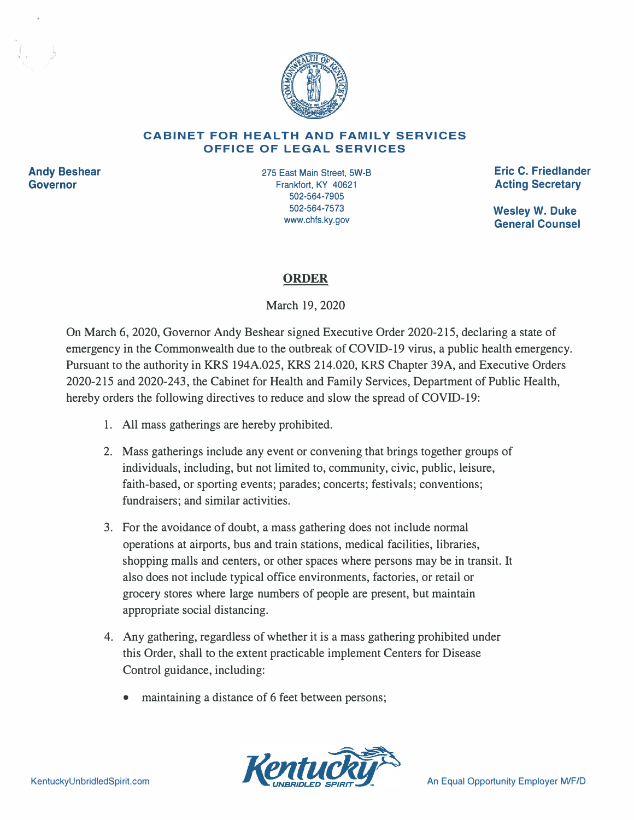

## **CABINET FOR HEALTH AND FAMILY SERVICES OFFICE OF LEGAL SERVICES**

**Andy Beshear Governor** 

- ,,

> 275 East Main Street, 5W-B Frankfort, KY 40621 502-564-7905 502-564-7573 www.chfs.ky.gov

**Eric C. Friedlander Acting Secretary** 

**Wesley W. Duke General Counsel** 

## **ORDER**

March 19, 2020

On March 6, 2020, Governor Andy Beshear signed Executive Order 2020-215, declaring a state of emergency in the Commonwealth due to the outbreak of COVID-19 virus, a public health emergency. Pursuant to the authority in KRS 194A.025, KRS 214.020, KRS Chapter 39A, and Executive Orders 2020-215 and 2020-243, the Cabinet for Health and Family Services, Department of Public Health, hereby orders the following directives to reduce and slow the spread of COVID-19:

- 1. All mass gatherings are hereby prohibited.
- 2. Mass gatherings include any event or convening that brings together groups of individuals, including, but not limited to, community, civic, public, leisure, faith-based, or sporting events; parades; concerts; festivals; conventions; fundraisers; and similar activities.
- 3. For the avoidance of doubt, a mass gathering does not include normal operations at airports, bus and train stations, medical facilities, libraries, shopping malls and centers, or other spaces where persons may be in transit. It also does not include typical office environments, factories, or retail or grocery stores where large numbers of people are present, but maintain appropriate social distancing.
- 4. Any gathering, regardless of whether it is a mass gathering prohibited under this Order, shall to the extent practicable implement Centers for Disease Control guidance, including:
	- maintaining a distance of 6 feet between persons;